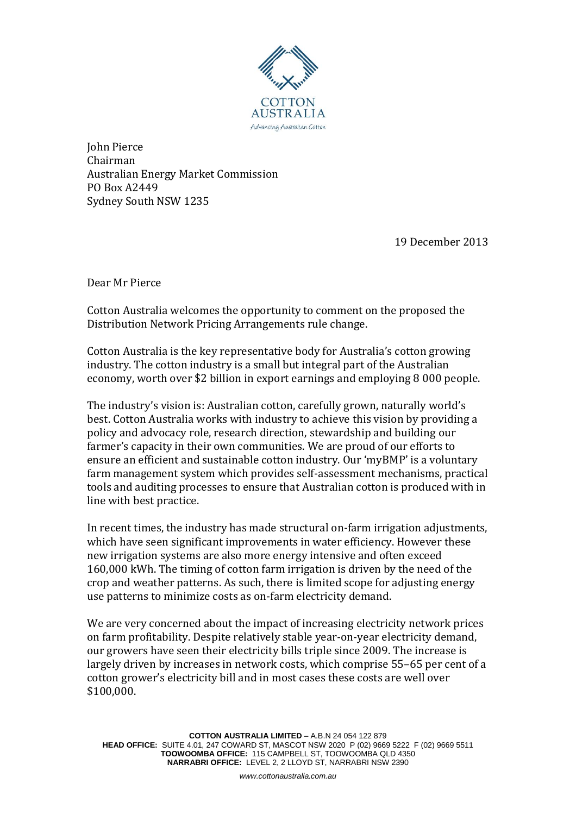

John Pierce Chairman Australian Energy Market Commission PO Box A2449 Sydney South NSW 1235

19 December 2013

Dear Mr Pierce

Cotton Australia welcomes the opportunity to comment on the proposed the Distribution Network Pricing Arrangements rule change.

Cotton Australia is the key representative body for Australia's cotton growing industry. The cotton industry is a small but integral part of the Australian economy, worth over \$2 billion in export earnings and employing 8 000 people.

The industry's vision is: Australian cotton, carefully grown, naturally world's best. Cotton Australia works with industry to achieve this vision by providing a policy and advocacy role, research direction, stewardship and building our farmer's capacity in their own communities. We are proud of our efforts to ensure an efficient and sustainable cotton industry. Our 'myBMP' is a voluntary farm management system which provides self-assessment mechanisms, practical tools and auditing processes to ensure that Australian cotton is produced with in line with best practice.

In recent times, the industry has made structural on-farm irrigation adjustments, which have seen significant improvements in water efficiency. However these new irrigation systems are also more energy intensive and often exceed 160,000 kWh. The timing of cotton farm irrigation is driven by the need of the crop and weather patterns. As such, there is limited scope for adjusting energy use patterns to minimize costs as on-farm electricity demand.

We are very concerned about the impact of increasing electricity network prices on farm profitability. Despite relatively stable year-on-year electricity demand, our growers have seen their electricity bills triple since 2009. The increase is largely driven by increases in network costs, which comprise 55–65 per cent of a cotton grower's electricity bill and in most cases these costs are well over \$100,000.

**COTTON AUSTRALIA LIMITED** – A.B.N 24 054 122 879 **HEAD OFFICE:** SUITE 4.01, 247 COWARD ST, MASCOT NSW 2020 P (02) 9669 5222 F (02) 9669 5511 **TOOWOOMBA OFFICE:** 115 CAMPBELL ST, TOOWOOMBA QLD 4350 **NARRABRI OFFICE:** LEVEL 2, 2 LLOYD ST, NARRABRI NSW 2390

*www.cottonaustralia.com.au*